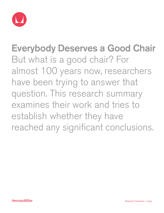

**Everybody Deserves a Good Chair**  But what is a good chair? For almost 100 years now, researchers have been trying to answer that question. This research summary examines their work and tries to establish whether they have reached any significant conclusions.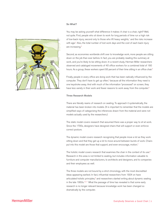## **So What?**



You may be asking yourself what difference it makes: A chair is a chair, right? Well, not quite. First, people who sit down to work for long periods of time run a high risk of low-back injury, second only to those who lift heavy weights,<sup>1</sup> and the risks increase with age.<sup>2</sup> Also, the total number of lost work days and the cost of each back injury are increasing.3

Second, as economies worldwide shift over to knowledge work, more people are sitting down on the job than ever before. In fact, you are probably reading this summary at work, and you're likely to be sitting down. In a recent study, Herman Miller researchers observed and cataloged movements of 40 office workers for a combined total of 160 hours. As a group, these workers spent 93 percent of their time sitting in an office chair.<sup>4</sup>

Finally, people in every office are doing work that has been radically influenced by the computer. They don't have to get up often,<sup>5</sup> because all the information they need is one keystroke away. And with much of the information "processed" on screen, they have less variety in their work and fewer reasons to work away from the computer.<sup>6</sup>

#### **Three Research Models**

There are literally reams of research on seating. To approach it systematically, the material has been broken into models. (It is important to remember that the models are simplified ways of categorizing the inferences drawn from the material and were not models actually used by the researchers.)

The static model covers research that assumed there was a proper way to sit at work. Since the 1700s, designers have designed chairs that will support or even enforce correct posture.

The dynamic model covers research recognizing that people move a lot as they work sitting down and that they get up a lot to move around between bursts of work. Chairs put into this model are those that support, and even encourage, motion.<sup>7</sup>

The holistic model covers research that examines the chair in the context of its use.<sup>8</sup> Research in this area is not limited to seating, but includes information valuable to furniture and computer manufacturers, to architects and designers, and to companies and their employees as well.

The three models are not bound by a strict chronology, with the most discredited ideas appearing earliest. In fact, influential researchers from 1924 on have articulated holistic principles, $9$  and researchers started writing about dynamic seating in the late 1950s.<sup>10,11</sup> What the passage of time has revealed is that some early research is no longer relevant because knowledge work has been changed so dramatically by the computer.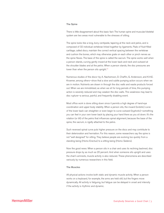### **The Spine**

There is little disagreement about this basic fact: The human spine and muscular/skeletal system are two areas most vulnerable to the stresses of sitting.

The spine looks like a long, bony centipede, tapering at the neck and pelvis, and is composed of 32 individual vertebrae linked together by ligaments. Pads of fluid-filled cartilage, called discs, maintain the correct vertical spacing between the vertebrae and cushion the bones, which may otherwise grate on each other or pinch nerves as the spine flexes. The base of the spine is called the sacrum. The spine works well when a person stands, curving gently inward at the lower back and neck and outward at the shoulder blades and at the pelvis. When a person stands, the disc pressures are lower than when the person sits upright.<sup>12</sup>

Numerous studies of the discs—by A. Nachemson, D. Chaffin, G. Andersson, and K.H.E. Kroemer, among others—show that a slow and subtle pumping action occurs when we are in motion. Nutrients are drawn in through the disc walls and waste products forced out. When we are immobilized, as when we sit for long periods of time, this pumping action is severely reduced and may weaken the disc walls. This weakness may lead to disc rupture—a serious, painful, and frequently disabling event.

Most office work is done sitting down since it permits a high degree of hand-eye coordination and upper-body stability. When a person sits, the inward (lordotic) curve of the lower back can straighten or even begin to curve outward (kyphotic)—something you can feel in your own lower back by placing your hand there as you sit down. It's the rotation (or tilt) of the pelvis that influences spinal alignment, because the base of the spine, the sacrum, is rigidly attached to the pelvis.

Such reversed spinal curve puts higher pressure on the discs and may contribute to their deterioration and herniation. For this reason, some researchers say the spine is not "well designed" for sitting. They believe people are evolving too quickly from a standing being (Homo Erectus) to a sitting being (Homo Sedens).

Now the good news: When a person sits in a chair and uses its reclining backrest, disc pressure drops by as much as 20 percent. And when someone sits upright and uses the chair's armrests, muscle activity is also reduced. These phenomena are described variously by numerous researchers in this field.

# **The Muscles**

All physical actions involve both static and dynamic muscle activity. When a person works on a keyboard, for example, the arms are held still, but the fingers move dynamically. All activity is fatiguing, but fatigue can be delayed in onset and intensity if the activity is rhythmic and dynamic.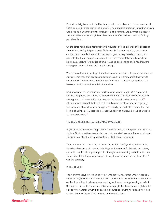Dynamic activity is characterized by the alternate contraction and relaxation of muscle fibers, pumping oxygen-rich blood in and forcing out waste products like carbon dioxide and lactic acid. Dynamic activities include walking, running, and swimming. Because these activities are rhythmic, it takes less muscular effort to keep them up for long periods of time.

On the other hand, static activity is very difficult to keep up, even for brief periods of time, without feeling fatigue or pain. Static activity is characterized by the constant contraction of muscle fibers, which causes congestion, traps waste products, and prevents the flow of oxygen and nutrients into the tissue. Static activities include holding any posture for a period of time—standing still, bending one's head forward, holding one's arm out from the body, for example.

When people feel fatigue, they intuitively do a number of things to relieve the affected muscles. They may shift positions to come at tasks from a new angle, find ways to support their hands or arms, use the other hand for the same task, take short rest breaks, or switch to another activity for a while.

Research supports the benefits of intuitive responses to fatigue. One experiment showed that people tend to use several muscle groups to accomplish a single task, shifting from one group to the other long before the activity becomes painful.<sup>13</sup> Other research showed the benefits of providing arm or elbow support, especially for work done at shoulder level or higher.<sup>14,15</sup> Finally, research also showed that rest breaks of as little as 10 seconds increase the ability of a fatigued group of muscles to continue working.16

**The Static Model: The So-Called "Right" Way to Sit**

Physiological research that began in the 1940s continues to the present; many of its findings fit into what has been called the static model of research. The supposition of this static model is that it is possible to identify the "right" way to sit.

There were a lot of rules in the offices of the 1940s, 1950s, and 1960s—a desire for external evidence of order and stability, unwritten codes for behavior and dress, and subtle markers to separate people with high social standing and education from those without it. In these paper-based offices, the exemplar of the "right way to sit" was the secretary.

## **Sitting Upright**

The highly trained, professional secretary was generally a woman who worked at a mechanical typewriter. She sat on her so-called secretarial chair with both feet firmly on the floor, ankles touching, knees touching, and her upper legs forming a perfect 90-degree angle with her torso. Her back was upright, her head turned slightly to the side to view what today would be called the source document, her elbows were held in close to her sides, and her hands hovered over the keys.

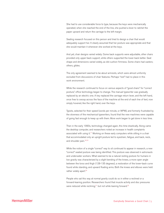She had to use considerable force to type, because the keys were mechanically operated; when she reached the end of the line, she pushed a lever to ratchet the paper upward and return the carriage to the left margin.

Seating research focused on this person and tried to design a chair that would adequately support her. It clearly assumed that her posture was appropriate and that she would maintain it whenever she worked at the keys.

And yet, chair designs varied widely: Some back supports were adjustable, other chairs provided only upper-back support, while others supported the lower back better. Seat shape and dimensions varied widely, as did cushion firmness. Some chairs had casters; others, glides.

The only agreement seemed to be about armrests, which were almost uniformly excluded from discussions of chair features. Perhaps "rest" had no place in this work environment.

While the research continued to focus on various aspects of "good chairs" for "correct posture," office technology began to change. The manual typewriter was gradually replaced by an electric one. A key replaced the carriage return lever, and the left hand, once free to swoop across the face of the machine at the end of each line of text, now simply hovered, like the right hand, over the keys.

Typists, selected for their speed (words per minute, or WPM), and formerly frustrated by the slowness of the mechanical typewriters, found that the new machines were capable of going fast enough to keep up with them. More work began to get done in less time.

Then in the early 1990s, technology changed again, this time drastically. Along came the desktop computer, and researchers noted an increase in health complaints associated with using it.<sup>17</sup> Working on these early computers while sitting in a chair that accommodated only an upright posture led to eyestrain, fatigue, and back, neck, and shoulder pain.<sup>18,19</sup>

While the notion of a single "correct" way to sit continued to appear in research, a new "correct" seated posture was being identified. This posture was observed in astronauts and underwater workers. What seemed to be a natural resting posture for humans in low gravity was characterized by a slight bending of the knees, a more open angle between the torso and thigh (128-135 degrees), a restoration of the lower-back curve found while standing, and upward floating arms. Both the knees and elbows were held rather widely apart.<sup>20</sup>

People who sat this way at normal gravity could do so in either a reclined or a forward-leaning position. Researchers found that muscle activity and disc pressures were reduced while reclining,<sup>21</sup> but not while leaning forward.<sup>22</sup>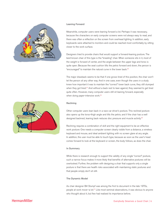

## **Leaning Forward**

Meanwhile, computer users were leaning forward a lot. Perhaps it was necessary, because the characters on early computer screens were not always easy to read, and there was often a reflection on the screen from overhead lighting. In addition, early keyboards were attached to monitors and could be reached most comfortably by sitting closer to the work surface.

Designers tried to provide chairs that would support a forward-leaning posture. The best-known chair of this type is the "kneeling" chair. When someone sits in it, most of the weight is forward of center, and the angle between the upper legs and torso is quite open. Because the seat cushion tilts the pelvis forward and down, the person is "encouraged" to maintain the natural curve in the lower back.<sup>23</sup>

The major drawback seems to be that if one grows tired of this position, the chair won't let the person sit any other way. And in one case, even though the users in a study knew how important it was to maintain the "correct" lower back curve, they still slumped when they got tired. $24$  And without a back rest to lean against, they seemed to get tired quite often. However, many computer users still sit leaning forward, especially when doing paper-intensive work.<sup>25</sup>

# **Reclining**

Other computer users lean back in a race car driver's posture. This reclined posture also opens up the torso-thigh angle and tilts the pelvis; and if the chair has a well designed backrest, leaning back reduces disc pressure and muscle activity.<sup>26</sup>

Reclining requires a combination of skill and the right equipment to be an effective work posture: One needs a computer screen clearly visible from a distance, a wireless keyboard and mouse, and ideal ambient lighting with no screen glare at any angle. In addition, the user must be able to touch-type, because as soon as the user's head comes forward to look at the keyboard or screen, the body follows, as does the chair.

### **In Summary**

While there is research enough to support the validity of any single "correct" posture, such a narrow focus makes it more likely that benefits of alternative postures will be overlooked. Further, the problem with designing a chair that supports only a single posture is that there are health risks associated with maintaining static postures and that people simply don't sit still.

## **The Dynamic Model**

As chair designer Bill Stumpf was among the first to document in the late 1970s, people at work move—a  $\frac{1}{2}$  Like most seminal observations, it was obvious to anyone who thought about it, but few had realized its importance before.

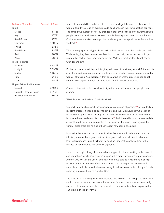# **Behavior Variables Percent of Time**

| <b>Tasks</b>                    |        |
|---------------------------------|--------|
| Mouse                           | 18.74% |
| Key                             | 19.70% |
| Read Screen                     | 7.73%  |
| Converse                        | 12.82% |
| Phone                           | 12.35% |
| Read Paper                      | 17.32% |
| Rest                            | 3.86%  |
| Write                           | 7.60%  |
| <b>Torso Postures</b>           |        |
| Forward                         | 45.25% |
| Upright                         | 26.96% |
| Recline                         | 14.50% |
| Turn                            | 5.75%  |
| l ean                           | 4.25%  |
| <b>Upper Extremity Postures</b> |        |
| Neutral                         | 28.94% |
| Neutral Extended Reach          | 51.76% |
| Far Extended Reach              | 15.62% |
|                                 |        |

A recent Herman Miller study that observed and cataloged the movements of 40 office workers found the group on average made 53 changes in their torso posture per hour. The same group averaged over 180 changes in their arm position per hour. Administrative people made the most torso movements, and technical/professional workers the least. Customer service workers averaged the most changes in arm postures, and executives the least.<sup>28</sup>

When making a phone call, people play with a desk toy, leaf through a catalog, or doodle. While writing, they lean on an elbow, lean back in the chair, look up for inspiration, or unwrap that stick of gum they've been saving. While in a meeting, they fidget, squirm, twist, tilt, and turn.

Further, no matter what they're doing, they will use various strategies to shift the activity away from tired muscles—stopping briefly, switching hands, changing to another kind of work, or stretching. As a last resort, they can always invent the pressing need to get coffee, make copies, or track someone down for a face-to-face meeting.

Stumpf's observations led to a chair designed to support the ways that people move at work.

### **What Support Will a Good Chair Provide?**

Generally, a good chair should accommodate a wide range of postures<sup>29</sup> without feeling resistant or loose. It should be easy to get into and out of. It should permit motion but be stable enough to allow close-up or detailed work. Maybe it should accommodate both paperbased and computer-centered work.<sup>30</sup> And it probably should accommodate at least three kinds of working postures—the reclined, the forward-leaning, and the upright-since there still no single theory about how people should sit.<sup>31</sup>

How to tie these results back to specific chair features is still under discussion. It is intuitively obvious that a good chair provides good back support: People who work leaning forward and upright will want to lean back and rest; people working in the reclined position need to feel securely supported.

There are a couple of ways to address back support. For those working in the forward and upright position, lumbar or pelvic support will prevent fatigue and improve comfort. Another way involves the use of armrests. Numerous studies reveal the relationship between armrests and their effect on the body in its seated position. Generally, if armrests are well placed and adjustable, using them has a range of benefits, particularly reducing stress on the neck and shoulders.

There seems to be little argument about features like swiveling and rolling to accommodate motion to and away from the task or the work surface. And there is an assumption by users, if not by researchers, that chairs should be durable and continue to provide the same levels of quality over time.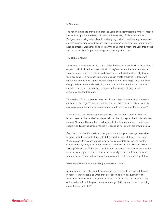### **In Summary**

The notion that chairs should both stabilize users and accommodate a range of motion has led to a significant redesign of chairs and a new way of talking about them. Designers are moving in two directions: designing chairs to meet the requirements of specific kinds of work, and designing chairs to accommodate a range of workers and a range of tasks. Ergonomic principles say the chair should first fit the user, then fit the task, and then allow for posture change and a variety of activities.

## **The Holistic Model**

These questions underlie what is being called the holistic model, in which descriptions of good chairs include the contexts in which they're used and the people who use them. Research fitting the holistic model concerns itself with the idea that jobs and tools designed for a homogeneous workforce can create problems for those with different attributes or strengths. Product designers are increasingly aware that every design decision made while designing a workstation is important and will have an impact on the users. The research assigned to the holistic category includes statements like the following:

"The modern office is a complex network of interrelated influences that represent a continuous challenge."<sup>32</sup> "No one chair type or line fits everyone."<sup>33</sup> "It is unlikely that any single product or workstation configuration will be satisfactory for everyone."34

While research has always acknowledged wide physical differences between the largest male and the smallest female, workforce diversity beyond that has largely been ignored. No more: The workforce is changing fast, with more women, minorities, and people with disabilities coming into the workplace as well as workers growing older.

Even the notion that it's possible to design for some imaginary average person has begun to yield to research showing that there really is no such thing as "average": While a range of "average" physical dimensions can be detailed, such as height, weight, and arm, torso, or leg length, no single person will match 10 out of 10 specific "average" dimensions.35 Studies show that until custom-built workplaces become the norm, adjustability will be the best solution, especially if users understand why and when to adjust chairs, work surfaces, and equipment. If not, they won't adjust them.

## **What Kinds of Work Are We Doing When We Sit Down?**

Research fitting the holistic model views sitting as a means to an end, not the end in itself: "What do people do when they sit?" becomes a crucial question. $36$  The Herman Miller study cited earlier (observing and cataloging the movements of 40 office workers) found the group spent an average of 47 percent of their time doing computer-related tasks.37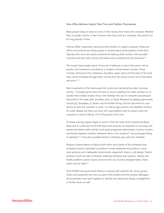## **How Office Workers Spend Their Time and Position Themselves**

Many people today sit down to work on their enemy, their friend, the computer. Whether they sit upright, recline, or lean forward, when they work at a computer, they tend to sit for long periods of time.

Herman Miller researchers have found that workers in today's computer-influenced office environments are sitting upright or forward about three-quarters of the time. Typically, their arms are raised somewhat (increasing static activity in the shoulder muscles), and their arms, hands, and head move constantly and with precision.<sup>38</sup>

The human head weighs about 10 pounds. It balances on top of the spine, with its position and movement controlled by a complex of three dozen muscles. These muscles, anchored at the collarbone, shoulders, upper spine, and the base of the skull, have nerves threading through them, running from the spinal column out to the hands and arms.39, 40

Most movements of the head away from center are maintained by static muscular activity.<sup>41</sup> Considering the wear and tear on tissue resulting from static activity, it is no wonder that multiple studies show a link between the use of computers and physical discomfort in the head, neck, shoulders, arms, or hands. Research by leading ergonomists, including E. Grandjean, S. Sauter, and the Koffler Group, link this discomfort to such factors as how the computer is used, $42$  as well as age, posture, and repetitive motions. It's under debate, but there are some who say problems start to surface when the computer is used as little as 10 to 20 percent of the time.

As these warning signals began to come in from the work world, research by Bryan Abas and A. Laville also found that fixed work postures, an emphasis on accuracy and speed, and intense static activity could cause progressive deterioration of joints, muscles, and tendon/ligament sheaths. Awkward hand or arm positions<sup>43</sup> and prolonged sitting or standing<sup>44,45</sup> were also causative factors in distress, pain, and even disability.

Research places blame on factors both within and outside of the workplace. Key workplace factors implicated in problems include weakened musculature or poor work postures, and inadequate environments, equipment, chairs, or job design. Factors outside of work can also contribute: sedentary lifestyles; poor posture, obesity, and health problems; sports injuries; and even the use of poorly designed beds, chairs, sofas, and car seats.46

From NIOSH and government offices to industry and research, the chorus grows: Chairs and equipment are only one part of the problem and the solution. Managers and employees must work together to identify and resolve job design, management, or facility issues as well.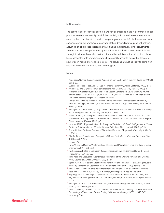### **In Conclusion**

The early notions of "correct" posture gave way as evidence made it clear that idealized postures were not necessarily healthful—especially not in a work environment dominated by the computer. Yet dynamic changes in posture, healthful in themselves, cannot compensate for the problems of poor workstation design, layout, equipment, lighting, acoustics, or job process. Researchers are finding that relatively minor adjustments to the entire "work envelope" can be significant. While this holistic view makes intuitive sense, it frustrates those who seek a cut-and-dried solution to the influx of problems being associated with knowledge work. It is probably accurate to say that these are now, or soon will be, everyone's problems. The solutions are just as likely to come from users as they are from researchers and designers.

## **Notes**

- Andersson, Gunnar, "Epidemiological Aspects on Low Back Pain in Industry," Spine, 6:1 (1981), pp.53-60.
- Lueder, Rani, "Back Rest Angle Usage: A Review," Humanics (Encino, California, 1990), p.10.
- <sup>3</sup> Webster, B., and S. Snook, private conversations with Chris Grant (July-August, 1992), in reference to Webster, B., and S. Snook, "The Cost of Compensible Low Back Pain," Journal of Occupational Medicine, 32:1 (1990), pp.13-15. Cited in Ergonomics of VDT Workplaces. (American Industrial Hygiene Association. In Press).
- <sup>4</sup> Dowell, W.R., Yuan, Fei, Green, B.; "Office Seating Behaviors, an Investigation of Posture, Task, and Job Type," Proceedings of the Human Factors and Ergonomic Society 45th Annual Meeting; 2001.
- <sup>5</sup> Grandjean, E., and W. Hunting, "Ergonomics of Posture: Review of Various Problems of Sitting and Standing Posture," Applied Ergonomics, 8:3 (1977), p.135.
- Sauter, S., et al., "Improving VDT Work: Causes and Control of Health Concerns in VDT Use" (Prepared for the Department of Administration, State of Wisconsin. Reprinted by the Report Store, Lawrence, Kansas, 1990), p.5.
- Kroemer, K.H.E., "Ergonomic Seats for Computer Workstations," Trends in Ergonomics/Human Factors V, F. Aghazadeh, ed. (Elsevier Science Publishers, North-Holland, 1988), p.319.
- <sup>8</sup> The Institute of Business Designers, "The Art and Science of Ergonomics," Industry In-Depth (1984), p.1.
- <sup>9</sup> Chaffin, D., and G. Andersson, Occupational Biomechanics (John Wiley and Sons, New York, 1984), pp.292-293.
- <sup>10</sup> Leuder, p.7.
- <sup>11</sup> Floyd, W. and D. Roberts, "Anatomical and Physiological Principles in Chair and Table Design," Ergonomics, 2:1 (1958), p.7.
- $12$  Nachemson, Alf, cited in Grandjean, *Ergonomics in Computerized Offices* (Taylor & Francis, Philadelphia, 1987), p.122.
- <sup>13</sup> Tanii, Kogi, and Sadoyama, "Spontaneous Alternation of the Working Arm in Static Overhead Work," Journal of Human Ergology (1972), p.154.
- <sup>14</sup> Bjelle, A., et al., "Clinical and Ergonomic Factors in Prolonged Shoulder Pain Among Industrial Workers," Scandinavian Journal of Work Environment and Health (1979), pp.205-210.
- <sup>15</sup> Bendix, Tom, "Chair and Table Adjustments for Seated Work," The Ergonomics of Working Postures, N. Corlett et al, eds. (Taylor & Francis, Philadelphia, 1986), pp.356, 359.
- <sup>16</sup> Hagberg, Mats, "Optimizing Occupational Muscular Stress of the Neck and Shoulder," The Ergonomics of Working Postures, N. Corlett et al., eds. (Taylor & Francis, Philadelphia, 1986), p.113.
- <sup>17</sup> Grandjean, R., et al., "VDT Workstation Design: Preferred Settings and Their Effects," Human Factors, 25:2 (1983), pp.161-165.
- <sup>18</sup> Attwood, Dennis, "Evaluation of Discomfort Experienced While Operating CADD Worksystems," Proceedings of the Human Factors Society-30th Annual Meeting (1986), pp.543-547.
- <sup>19</sup> Kroemer, p.316.